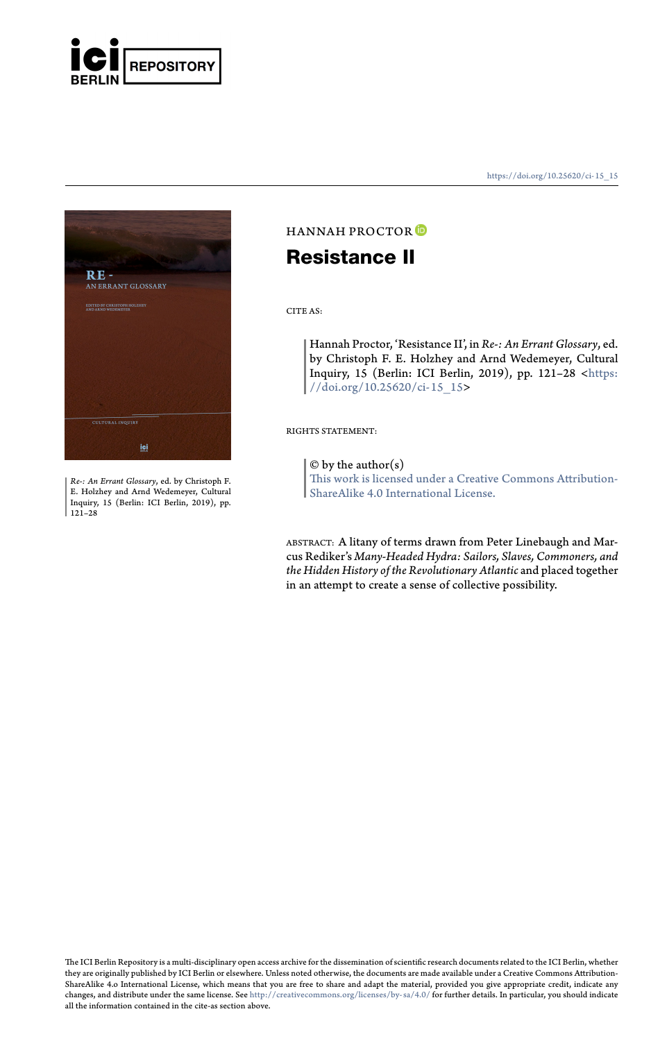

RE -<br>AN ERRANT GLOSSARY

*Re-: An Errant Glossary*, ed. by Christoph F. E. Holzhey and Arnd Wedemeyer, Cultural Inquiry, 15 (Berlin: ICI Berlin, 2019), pp. 121–28

https://doi.org/10.25620/ci- 15\_15

## HANNAH PROCTOR **Resistance II**

CITE AS:

Hannah Proctor, 'Resistance II', in *Re-: An Errant Glossary*, ed. by Christoph F. E. Holzhey and Arnd Wedemeyer, Cultural Inquiry, 15 (Berlin: ICI Berlin, 2019), pp. 121–28 <https: //doi.org/10.25620/ci-15\_15>

RIGHTS STATEMENT:

 $\ensuremath{\mathbb{O}}$  by the author(s)

This work is licensed under a Creative Commons Attribution-ShareAlike 4.0 International License.

ABSTRACT: A litany of terms drawn from Peter Linebaugh and Mar-cus Rediker's *Many-Headed Hydra: Sailors, Slaves, Commoners, and the Hidden History of the Revolutionary Atlantic* and placed together in an attempt to create a sense of collective possibility.

The ICI Berlin Repository is a multi-disciplinary open access archive for the dissemination of scientific research documents related to the ICI Berlin, whether<br>they are originally published by ICI Berlin or elsewhere. Unle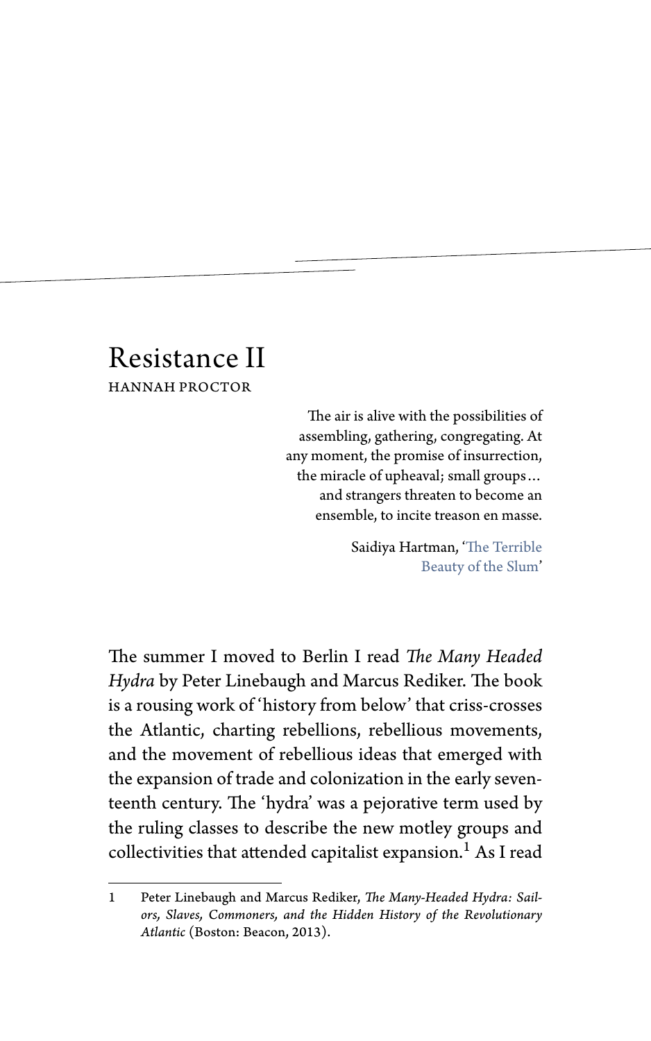## Resistance II HANNAH PROCTOR

The air is alive with the possibilities of assembling, gathering, congregating. At any moment, the promise of insurrection, the miracle of upheaval; small groups… and strangers threaten to become an ensemble, to incite treason en masse.

> Saidiya Hartman, 'The Terrible Beauty of the Slum'

The summer I moved to Berlin I read *The Many Headed Hydra* by Peter Linebaugh and Marcus Rediker. The book is a rousing work of 'history from below' that criss-crosses the Atlantic, charting rebellions, rebellious movements, and the movement of rebellious ideas that emerged with the expansion of trade and colonization in the early seventeenth century. The 'hydra' was a pejorative term used by the ruling classes to describe the new motley groups and collectivities that attended capitalist expansion.<sup>1</sup> As I read

<sup>1</sup> Peter Linebaugh and Marcus Rediker, *The Many-Headed Hydra: Sailors, Slaves, Commoners, and the Hidden History of the Revolutionary Atlantic* (Boston: Beacon, 2013).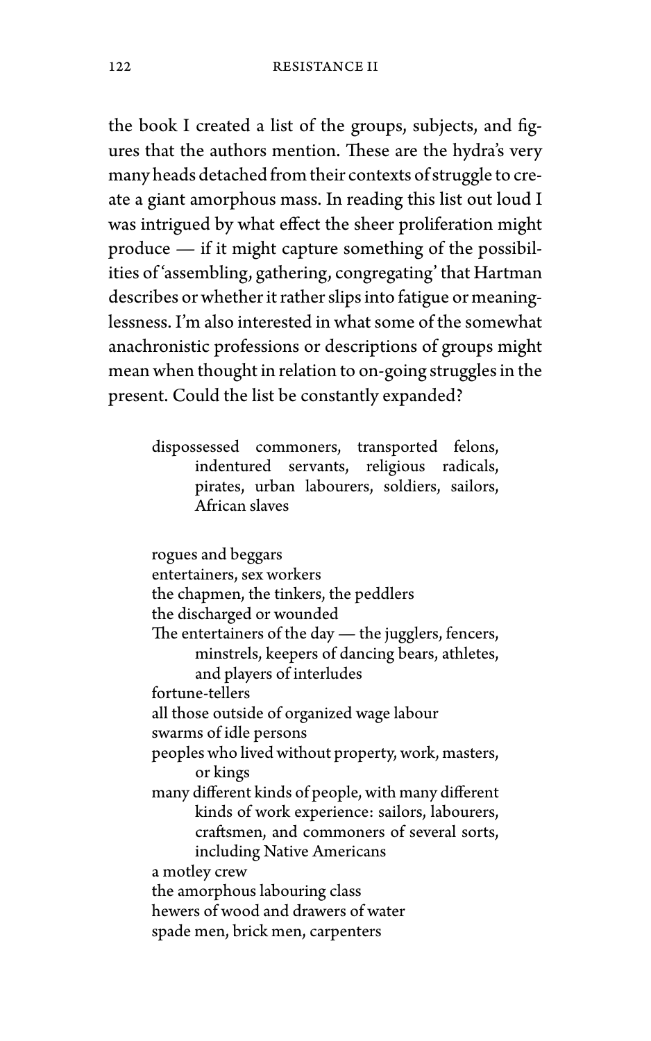the book I created a list of the groups, subjects, and figures that the authors mention. These are the hydra's very many heads detached from their contexts of struggle to create a giant amorphous mass. In reading this list out loud I was intrigued by what effect the sheer proliferation might produce — if it might capture something of the possibilities of 'assembling, gathering, congregating' that Hartman describes or whether it rather slips into fatigue or meaninglessness. I'm also interested in what some of the somewhat anachronistic professions or descriptions of groups might mean when thought in relation to on-going struggles in the present. Could the list be constantly expanded?

> dispossessed commoners, transported felons, indentured servants, religious radicals, pirates, urban labourers, soldiers, sailors, African slaves

rogues and beggars entertainers, sex workers the chapmen, the tinkers, the peddlers the discharged or wounded The entertainers of the day — the jugglers, fencers, minstrels, keepers of dancing bears, athletes, and players of interludes fortune-tellers all those outside of organized wage labour swarms of idle persons peoples who lived without property, work, masters, or kings many different kinds of people, with many different kinds of work experience: sailors, labourers, craftsmen, and commoners of several sorts, including Native Americans a motley crew the amorphous labouring class hewers of wood and drawers of water spade men, brick men, carpenters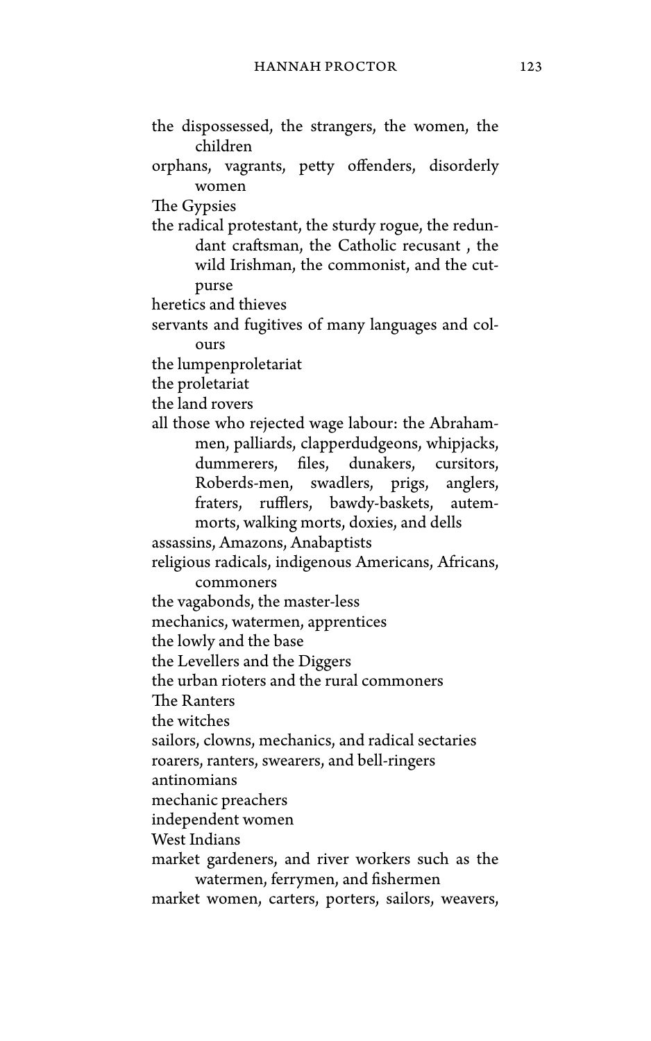- the dispossessed, the strangers, the women, the children
- orphans, vagrants, petty offenders, disorderly women

The Gypsies

the radical protestant, the sturdy rogue, the redundant craftsman, the Catholic recusant , the wild Irishman, the commonist, and the cutpurse

heretics and thieves

servants and fugitives of many languages and colours

the lumpenproletariat

the proletariat

the land rovers

all those who rejected wage labour: the Abrahammen, palliards, clapperdudgeons, whipjacks, dummerers, files, dunakers, cursitors, Roberds-men, swadlers, prigs, anglers, fraters, rufflers, bawdy-baskets, autemmorts, walking morts, doxies, and dells

assassins, Amazons, Anabaptists

religious radicals, indigenous Americans, Africans, commoners

the vagabonds, the master-less

mechanics, watermen, apprentices

the lowly and the base

the Levellers and the Diggers

the urban rioters and the rural commoners

The Ranters

the witches

sailors, clowns, mechanics, and radical sectaries

roarers, ranters, swearers, and bell-ringers

antinomians

mechanic preachers

independent women

West Indians

market gardeners, and river workers such as the watermen, ferrymen, and fishermen

market women, carters, porters, sailors, weavers,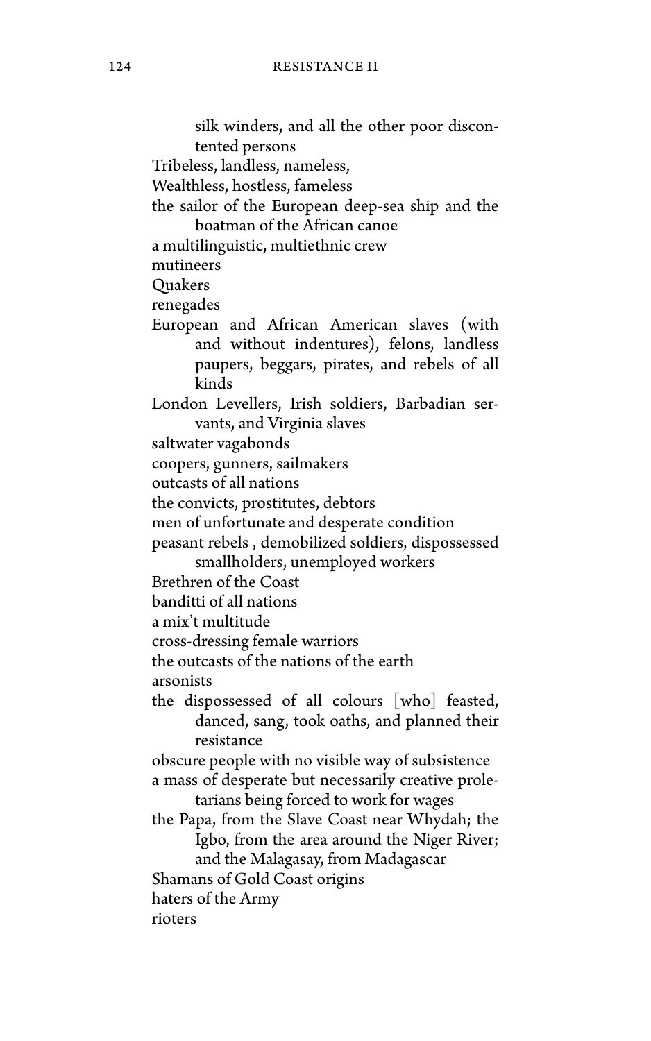silk winders, and all the other poor discontented persons Tribeless, landless, nameless, Wealthless, hostless, fameless the sailor of the European deep-sea ship and the boatman of the African canoe a multilinguistic, multiethnic crew mutineers Quakers renegades European and African American slaves (with and without indentures), felons, landless paupers, beggars, pirates, and rebels of all kinds London Levellers, Irish soldiers, Barbadian servants, and Virginia slaves saltwater vagabonds coopers, gunners, sailmakers outcasts of all nations the convicts, prostitutes, debtors men of unfortunate and desperate condition peasant rebels , demobilized soldiers, dispossessed smallholders, unemployed workers Brethren of the Coast banditti of all nations a mix't multitude cross-dressing female warriors the outcasts of the nations of the earth arsonists the dispossessed of all colours [who] feasted, danced, sang, took oaths, and planned their resistance obscure people with no visible way of subsistence a mass of desperate but necessarily creative proletarians being forced to work for wages the Papa, from the Slave Coast near Whydah; the Igbo, from the area around the Niger River; and the Malagasay, from Madagascar Shamans of Gold Coast origins haters of the Army rioters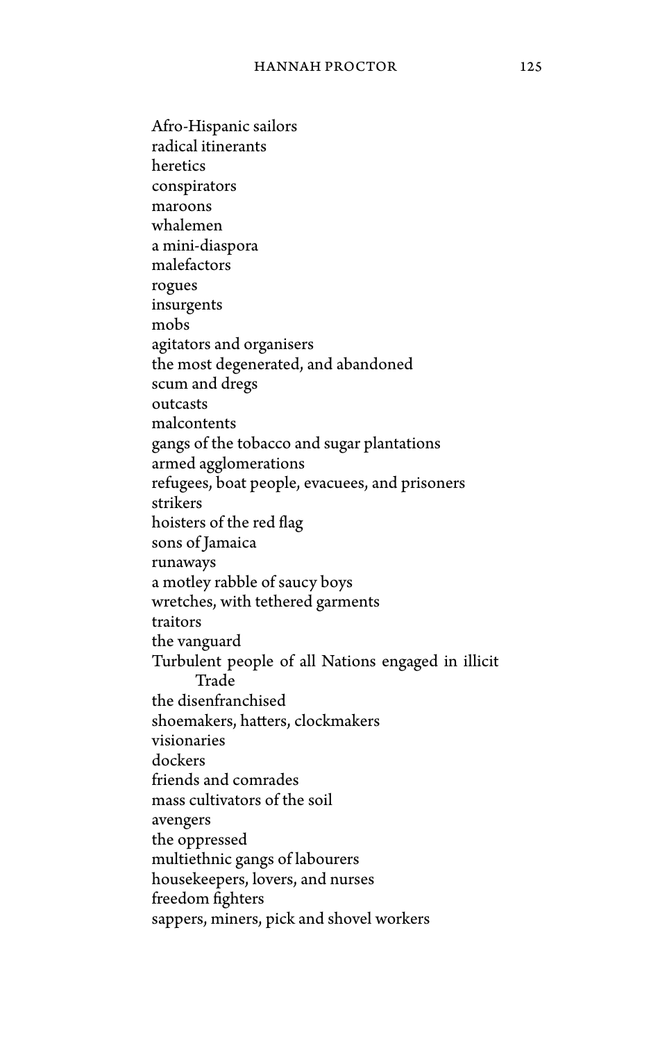Afro-Hispanic sailors radical itinerants heretics conspirators maroons whalemen a mini-diaspora malefactors rogues insurgents mobs agitators and organisers the most degenerated, and abandoned scum and dregs outcasts malcontents gangs of the tobacco and sugar plantations armed agglomerations refugees, boat people, evacuees, and prisoners strikers hoisters of the red flag sons of Jamaica runaways a motley rabble of saucy boys wretches, with tethered garments traitors the vanguard Turbulent people of all Nations engaged in illicit Trade the disenfranchised shoemakers, hatters, clockmakers visionaries dockers friends and comrades mass cultivators of the soil avengers the oppressed multiethnic gangs of labourers housekeepers, lovers, and nurses freedom fighters sappers, miners, pick and shovel workers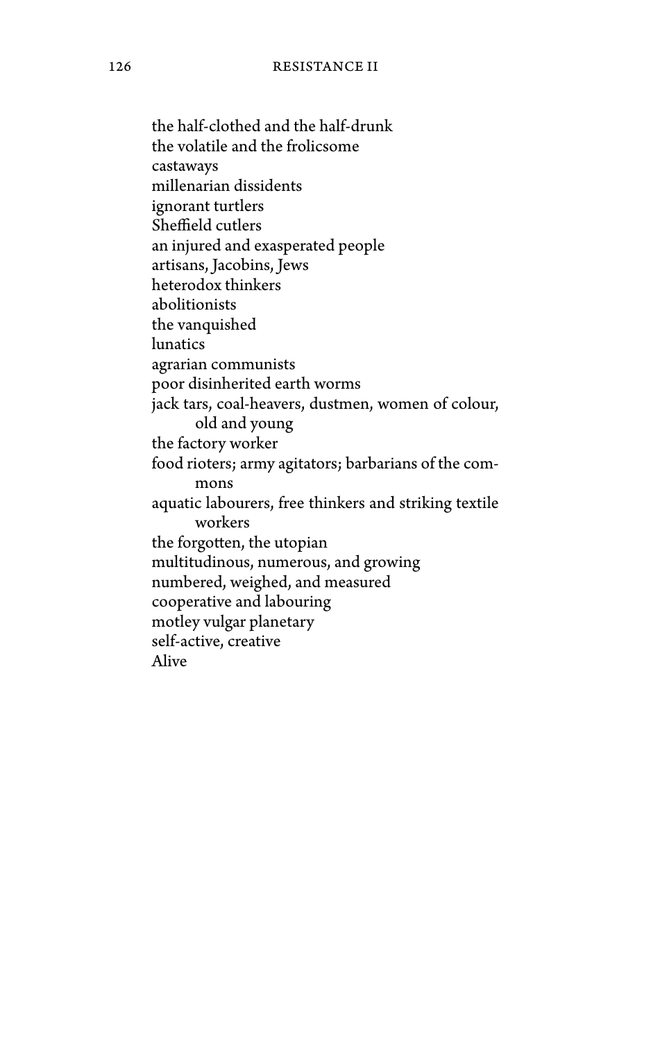the half-clothed and the half-drunk the volatile and the frolicsome castaways millenarian dissidents ignorant turtlers Sheffield cutlers an injured and exasperated people artisans, Jacobins, Jews heterodox thinkers abolitionists the vanquished lunatics agrarian communists poor disinherited earth worms jack tars, coal-heavers, dustmen, women of colour, old and young the factory worker food rioters; army agitators; barbarians of the commons aquatic labourers, free thinkers and striking textile workers the forgotten, the utopian multitudinous, numerous, and growing numbered, weighed, and measured cooperative and labouring motley vulgar planetary self-active, creative Alive